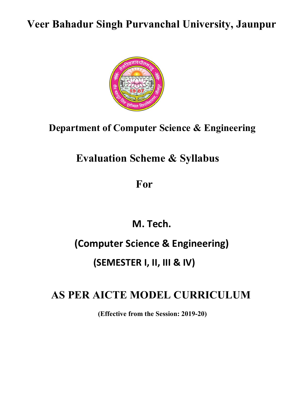# Veer Bahadur Singh Purvanchal University, Jaunpur



# Department of Computer Science & Engineering

# Evaluation Scheme & Syllabus

For

M. Tech.

# (Computer Science & Engineering)

# (SEMESTER I, II, III & IV)

# AS PER AICTE MODEL CURRICULUM

(Effective from the Session: 2019-20)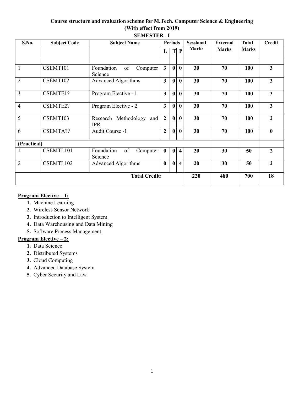# Course structure and evaluation scheme for M.Tech. Computer Science & Engineering (With effect from 2019) SEMESTER –I

| S.No.                | <b>Subject Code</b> | <b>Subject Name</b>                     | <b>Periods</b>   |                  |                         | <b>Sessional</b> | <b>External</b> | <b>Total</b> | <b>Credit</b>    |
|----------------------|---------------------|-----------------------------------------|------------------|------------------|-------------------------|------------------|-----------------|--------------|------------------|
|                      |                     |                                         | L                | $\mathbf T$      | $\mathbf{P}$            | <b>Marks</b>     | <b>Marks</b>    | <b>Marks</b> |                  |
| $\mathbf{1}$         | CSEMT101            | Foundation<br>of<br>Computer<br>Science | $\mathbf{3}$     | $\boldsymbol{0}$ | $\bf{0}$                | 30               | 70              | 100          | 3                |
| $\overline{2}$       | CSEMT102            | <b>Advanced Algorithms</b>              | 3                | $\boldsymbol{0}$ | $\bf{0}$                | 30               | 70              | 100          | 3                |
| $\overline{3}$       | CSEMTE1?            | Program Elective - 1                    | 3                | $\mathbf{0}$     | $\bf{0}$                | 30               | 70              | 100          | 3                |
| $\overline{4}$       | CSEMTE2?            | Program Elective - 2                    | 3                | $\bf{0}$         | $\bf{0}$                | 30               | 70              | 100          | 3                |
| 5                    | CSEMT103            | Research Methodology and<br><b>IPR</b>  | $\overline{2}$   | $\mathbf{0}$     | $\bf{0}$                | 30               | 70              | 100          | $\overline{2}$   |
| 6                    | CSEMTA??            | Audit Course -1                         | $\overline{2}$   | $\mathbf{0}$     | $\bf{0}$                | 30               | 70              | 100          | $\boldsymbol{0}$ |
| (Practical)          |                     |                                         |                  |                  |                         |                  |                 |              |                  |
|                      | CSEMTL101           | Foundation<br>of<br>Computer<br>Science | $\bf{0}$         | $\mathbf{0}$     | $\overline{\mathbf{4}}$ | 20               | 30              | 50           | $\overline{2}$   |
| $\overline{2}$       | CSEMTL102           | <b>Advanced Algorithms</b>              | $\boldsymbol{0}$ | $\bf{0}$         | $\overline{\mathbf{4}}$ | 20               | 30              | 50           | $\overline{2}$   |
| <b>Total Credit:</b> |                     |                                         |                  |                  |                         | 220              | 480             | 700          | 18               |

# Program Elective – 1:

- 1. Machine Learning
- 2. Wireless Sensor Network
- 3. Introduction to Intelligent System
- 4. Data Warehousing and Data Mining
- 5. Software Process Management

# Program Elective – 2:

- 1. Data Science
- 2. Distributed Systems
- 3. Cloud Computing
- 4. Advanced Database System
- 5. Cyber Security and Law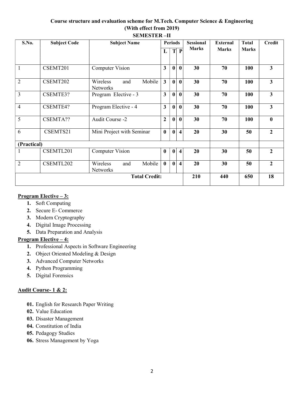# Course structure and evaluation scheme for M.Tech. Computer Science & Engineering (With effect from 2019) SEMESTER –II

| S.No.                | <b>Subject Code</b> | <b>Subject Name</b>                          | <b>Periods</b>          |                  |                         | <b>Sessional</b> | <b>External</b> | <b>Total</b> | <b>Credit</b>  |
|----------------------|---------------------|----------------------------------------------|-------------------------|------------------|-------------------------|------------------|-----------------|--------------|----------------|
|                      |                     |                                              | L                       | T                | $\mathbf{P}$            | <b>Marks</b>     | <b>Marks</b>    | <b>Marks</b> |                |
|                      | CSEMT201            | <b>Computer Vision</b>                       | $\overline{\mathbf{3}}$ | $\mathbf{0}$     | $\mathbf{0}$            | 30               | 70              | 100          | 3              |
| $\overline{2}$       | CSEMT202            | Mobile<br>Wireless<br>and<br><b>Networks</b> | $\overline{\mathbf{3}}$ | $\boldsymbol{0}$ | $\mathbf{0}$            | 30               | 70              | 100          | 3              |
| $\overline{3}$       | CSEMTE3?            | Program Elective - 3                         | 3                       | $\mathbf{0}$     | $\mathbf{0}$            | 30               | 70              | 100          | 3              |
| $\overline{4}$       | CSEMTE4?            | Program Elective - 4                         | 3                       | $\mathbf{0}$     | $\bf{0}$                | 30               | 70              | 100          | 3              |
| 5                    | CSEMTA??            | Audit Course -2                              | $\overline{2}$          | $\bf{0}$         | $\bf{0}$                | 30               | 70              | 100          | $\bf{0}$       |
| 6                    | CSEMTS21            | Mini Project with Seminar                    | $\bf{0}$                | $\mathbf{0}$     | $\overline{\mathbf{4}}$ | 20               | 30              | 50           | $\mathbf{2}$   |
| (Practical)          |                     |                                              |                         |                  |                         |                  |                 |              |                |
|                      | CSEMTL201           | <b>Computer Vision</b>                       | $\bf{0}$                | $\boldsymbol{0}$ | $\overline{\mathbf{4}}$ | 20               | 30              | 50           | $\overline{2}$ |
| $\overline{2}$       | CSEMTL202           | Mobile<br>Wireless<br>and<br><b>Networks</b> | $\mathbf{0}$            | $\mathbf{0}$     | $\overline{\mathbf{4}}$ | 20               | 30              | 50           | $\overline{2}$ |
| <b>Total Credit:</b> |                     |                                              |                         |                  |                         | 210              | 440             | 650          | 18             |

# Program Elective – 3:

- 1. Soft Computing
- 2. Secure E- Commerce
- 3. Modern Cryptography
- 4. Digital Image Processing
- 5. Data Preparation and Analysis

# Program Elective – 4:

- 1. Professional Aspects in Software Engineering
- 2. Object Oriented Modeling & Design
- 3. Advanced Computer Networks
- 4. Python Programming
- 5. Digital Forensics

# Audit Course- 1 & 2:

- 01. English for Research Paper Writing
- 02. Value Education
- 03. Disaster Management
- 04. Constitution of India
- 05. Pedagogy Studies
- 06. Stress Management by Yoga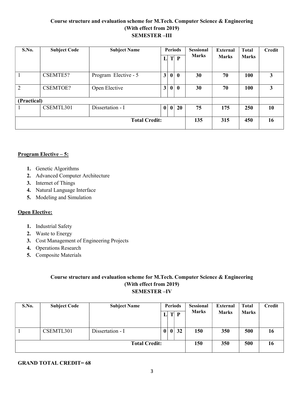# Course structure and evaluation scheme for M.Tech. Computer Science & Engineering (With effect from 2019) SEMESTER –III

| S.No.                | <b>Subject Code</b> | <b>Subject Name</b>  | $\mathbf{L}$ | T                | <b>Periods</b><br>$\mathbf{P}$ | <b>Sessional</b><br><b>Marks</b> | <b>External</b><br><b>Marks</b> | Total<br><b>Marks</b> | <b>Credit</b> |
|----------------------|---------------------|----------------------|--------------|------------------|--------------------------------|----------------------------------|---------------------------------|-----------------------|---------------|
|                      | CSEMTE5?            | Program Elective - 5 | 3            | $\boldsymbol{0}$ | $\boldsymbol{0}$               | 30                               | 70                              | 100                   | 3             |
| 2                    | <b>CSEMTOE?</b>     | Open Elective        | 3            | $\bf{0}$         | $\mathbf{0}$                   | 30                               | 70                              | 100                   | 3             |
| (Practical)          |                     |                      |              |                  |                                |                                  |                                 |                       |               |
|                      | CSEMTL301           | Dissertation - I     | $\bf{0}$     | $\mathbf{0}$     | 20                             | 75                               | 175                             | 250                   | 10            |
| <b>Total Credit:</b> |                     |                      |              | 135              | 315                            | 450                              | 16                              |                       |               |

# Program Elective – 5:

- 1. Genetic Algorithms
- 2. Advanced Computer Architecture
- 3. Internet of Things
- 4. Natural Language Interface
- 5. Modeling and Simulation

#### Open Elective:

- 1. Industrial Safety
- 2. Waste to Energy
- 3. Cost Management of Engineering Projects
- 4. Operations Research
- 5. Composite Materials

# Course structure and evaluation scheme for M.Tech. Computer Science & Engineering (With effect from 2019) SEMESTER –IV

| <b>S.No.</b> | <b>Subject Code</b> | <b>Subject Name</b>  | <b>Periods</b><br>T |              | P  | <b>Sessional</b><br><b>Marks</b> | <b>External</b><br><b>Marks</b> | <b>Total</b><br><b>Marks</b> | Credit |
|--------------|---------------------|----------------------|---------------------|--------------|----|----------------------------------|---------------------------------|------------------------------|--------|
|              |                     |                      |                     |              |    |                                  |                                 |                              |        |
|              | CSEMTL301           | Dissertation - I     | $\bf{0}$            | $\mathbf{0}$ | 32 | 150                              | 350                             | 500                          | 16     |
|              |                     | <b>Total Credit:</b> |                     |              |    | 150                              | 350                             | 500                          | 16     |

# GRAND TOTAL CREDIT= 68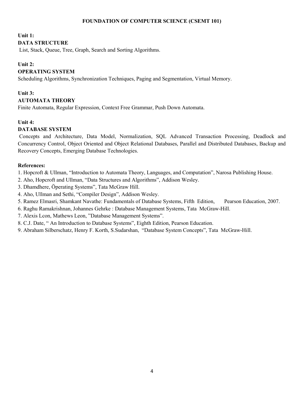#### FOUNDATION OF COMPUTER SCIENCE (CSEMT 101)

#### Unit 1:

# DATA STRUCTURE

List, Stack, Queue, Tree, Graph, Search and Sorting Algorithms.

# Unit 2:

# OPERATING SYSTEM

Scheduling Algorithms, Synchronization Techniques, Paging and Segmentation, Virtual Memory.

# Unit 3:

# AUTOMATA THEORY

Finite Automata, Regular Expression, Context Free Grammar, Push Down Automata.

# Unit 4:

# DATABASE SYSTEM

 Concepts and Architecture, Data Model, Normalization, SQL Advanced Transaction Processing, Deadlock and Concurrency Control, Object Oriented and Object Relational Databases, Parallel and Distributed Databases, Backup and Recovery Concepts, Emerging Database Technologies.

#### References:

1. Hopcroft & Ullman, "Introduction to Automata Theory, Languages, and Computation", Narosa Publishing House.

- 2. Aho, Hopcroft and Ullman, "Data Structures and Algorithms", Addison Wesley.
- 3. Dhamdhere, Öperating Systems", Tata McGraw Hill.
- 4. Aho, Ullman and Sethi, "Compiler Design", Addison Wesley.
- 5. Ramez Elmasri, Shamkant Navathe: Fundamentals of Database Systems, Fifth Edition, Pearson Education, 2007.
- 6. Raghu Ramakrishnan, Johannes Gehrke : Database Management Systems, Tata McGraw-Hill.
- 7. Alexis Lcon, Mathews Leon, "Database Management Systems".
- 8. C.J. Date, " An Introduction to Database Systems", Eighth Edition, Pearson Education.
- 9. Abraham Silberschatz, Henry F. Korth, S.Sudarshan, "Database System Concepts", Tata McGraw-Hill.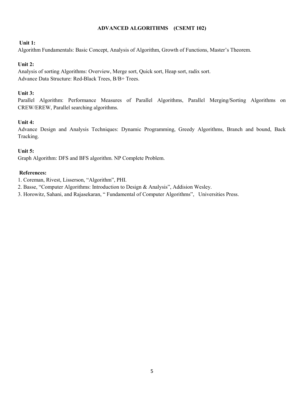# ADVANCED ALGORITHMS (CSEMT 102)

#### Unit 1:

Algorithm Fundamentals: Basic Concept, Analysis of Algorithm, Growth of Functions, Master's Theorem.

# Unit 2:

Analysis of sorting Algorithms: Overview, Merge sort, Quick sort, Heap sort, radix sort. Advance Data Structure: Red-Black Trees, B/B+ Trees.

# Unit 3:

Parallel Algorithm: Performance Measures of Parallel Algorithms, Parallel Merging/Sorting Algorithms on CREW/EREW, Parallel searching algorithms.

# Unit 4:

Advance Design and Analysis Techniques: Dynamic Programming, Greedy Algorithms, Branch and bound, Back Tracking.

#### Unit 5:

Graph Algorithm: DFS and BFS algorithm. NP Complete Problem.

- 1. Coreman, Rivest, Lisserson, "Algorithm", PHI.
- 2. Basse, "Computer Algorithms: Introduction to Design & Analysis", Addision Wesley.
- 3. Horowitz, Sahani, and Rajasekaran, " Fundamental of Computer Algorithms", Universities Press.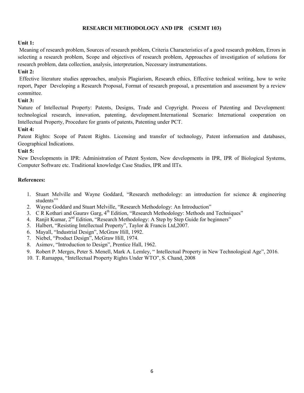# RESEARCH METHODOLOGY AND IPR (CSEMT 103)

#### Unit 1:

Meaning of research problem, Sources of research problem, Criteria Characteristics of a good research problem, Errors in selecting a research problem, Scope and objectives of research problem, Approaches of investigation of solutions for research problem, data collection, analysis, interpretation, Necessary instrumentations.

# Unit 2:

Effective literature studies approaches, analysis Plagiarism, Research ethics, Effective technical writing, how to write report, Paper Developing a Research Proposal, Format of research proposal, a presentation and assessment by a review committee.

# Unit 3:

Nature of Intellectual Property: Patents, Designs, Trade and Copyright. Process of Patenting and Development: technological research, innovation, patenting, development.International Scenario: International cooperation on Intellectual Property, Procedure for grants of patents, Patenting under PCT.

# Unit 4:

Patent Rights: Scope of Patent Rights. Licensing and transfer of technology, Patent information and databases, Geographical Indications.

# Unit 5:

New Developments in IPR: Administration of Patent System, New developments in IPR, IPR of Biological Systems, Computer Software etc. Traditional knowledge Case Studies, IPR and IITs.

- 1. Stuart Melville and Wayne Goddard, "Research methodology: an introduction for science & engineering students'"
- 2. Wayne Goddard and Stuart Melville, "Research Methodology: An Introduction"
- 3. C R Kothari and Gaurav Garg,  $4<sup>th</sup>$  Edition, "Research Methodology: Methods and Techniques"
- 4. Ranjit Kumar, 2<sup>nd</sup> Edition, "Research Methodology: A Step by Step Guide for beginners"
- 5. Halbert, "Resisting Intellectual Property", Taylor & Francis Ltd,2007.
- 6. Mayall, "Industrial Design", McGraw Hill, 1992.
- 7. Niebel, "Product Design", McGraw Hill, 1974.
- 8. Asimov, "Introduction to Design", Prentice Hall, 1962.
- 9. Robert P. Merges, Peter S. Menell, Mark A. Lemley, " Intellectual Property in New Technological Age", 2016.
- 10. T. Ramappa, "Intellectual Property Rights Under WTO", S. Chand, 2008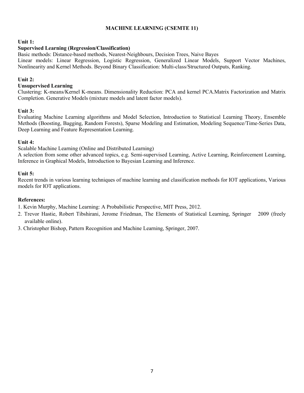# MACHINE LEARNING (CSEMTE 11)

#### Unit 1:

#### Supervised Learning (Regression/Classification)

Basic methods: Distance-based methods, Nearest-Neighbours, Decision Trees, Naive Bayes

Linear models: Linear Regression, Logistic Regression, Generalized Linear Models, Support Vector Machines, Nonlinearity and Kernel Methods. Beyond Binary Classification: Multi-class/Structured Outputs, Ranking.

# Unit 2:

#### Unsupervised Learning

Clustering: K-means/Kernel K-means. Dimensionality Reduction: PCA and kernel PCA.Matrix Factorization and Matrix Completion. Generative Models (mixture models and latent factor models).

#### Unit 3:

Evaluating Machine Learning algorithms and Model Selection, Introduction to Statistical Learning Theory, Ensemble Methods (Boosting, Bagging, Random Forests), Sparse Modeling and Estimation, Modeling Sequence/Time-Series Data, Deep Learning and Feature Representation Learning.

#### Unit 4:

Scalable Machine Learning (Online and Distributed Learning)

A selection from some other advanced topics, e.g. Semi-supervised Learning, Active Learning, Reinforcement Learning, Inference in Graphical Models, Introduction to Bayesian Learning and Inference.

#### Unit 5:

Recent trends in various learning techniques of machine learning and classification methods for IOT applications, Various models for IOT applications.

#### References:

1. Kevin Murphy, Machine Learning: A Probabilistic Perspective, MIT Press, 2012.

- 2. Trevor Hastie, Robert Tibshirani, Jerome Friedman, The Elements of Statistical Learning, Springer 2009 (freely available online).
- 3. Christopher Bishop, Pattern Recognition and Machine Learning, Springer, 2007.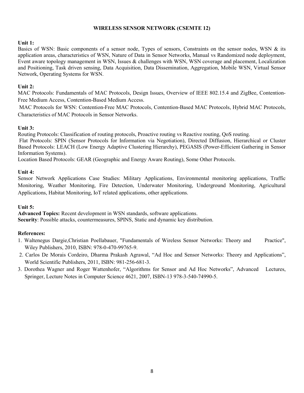# WIRELESS SENSOR NETWORK (CSEMTE 12)

## Unit 1:

Basics of WSN: Basic components of a sensor node, Types of sensors, Constraints on the sensor nodes, WSN & its application areas, characteristics of WSN, Nature of Data in Sensor Networks, Manual vs Randomized node deployment, Event aware topology management in WSN, Issues & challenges with WSN, WSN coverage and placement, Localization and Positioning, Task driven sensing, Data Acquisition, Data Dissemination, Aggregation, Mobile WSN, Virtual Sensor Network, Operating Systems for WSN.

# Unit 2:

MAC Protocols: Fundamentals of MAC Protocols, Design Issues, Overview of IEEE 802.15.4 and ZigBee, Contention-Free Medium Access, Contention-Based Medium Access.

 MAC Protocols for WSN: Contention-Free MAC Protocols, Contention-Based MAC Protocols, Hybrid MAC Protocols, Characteristics of MAC Protocols in Sensor Networks.

# Unit 3:

Routing Protocols: Classification of routing protocols, Proactive routing vs Reactive routing, QoS routing.

 Flat Protocols: SPIN (Sensor Protocols for Information via Negotiation), Directed Diffusion, Hierarchical or Cluster Based Protocols: LEACH (Low Energy Adaptive Clustering Hierarchy), PEGASIS (Power-Efficient Gathering in Sensor Information Systems).

Location Based Protocols: GEAR (Geographic and Energy Aware Routing), Some Other Protocols.

# Unit 4:

Sensor Network Applications Case Studies: Military Applications, Environmental monitoring applications, Traffic Monitoring, Weather Monitoring, Fire Detection, Underwater Monitoring, Underground Monitoring, Agricultural Applications, Habitat Monitoring, IoT related applications, other applications.

#### Unit 5:

Advanced Topics: Recent development in WSN standards, software applications. Security: Possible attacks, countermeasures, SPINS, Static and dynamic key distribution.

- 1. Waltenegus Dargie,Christian Poellabauer, "Fundamentals of Wireless Sensor Networks: Theory and Practice", Wiley Publishers, 2010, ISBN: 978-0-470-99765-9.
- 2. Carlos De Morais Cordeiro, Dharma Prakash Agrawal, "Ad Hoc and Sensor Networks: Theory and Applications", World Scientific Publishers, 2011, ISBN: 981-256-681-3.
- 3. Dorothea Wagner and Roger Wattenhofer, "Algorithms for Sensor and Ad Hoc Networks", Advanced Lectures, Springer, Lecture Notes in Computer Science 4621, 2007, ISBN-13 978-3-540-74990-5.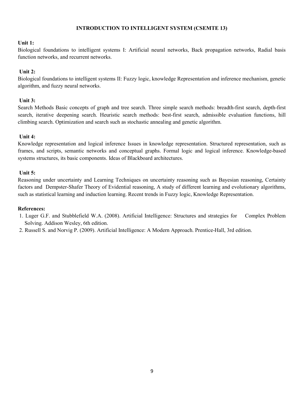# INTRODUCTION TO INTELLIGENT SYSTEM (CSEMTE 13)

#### Unit 1:

Biological foundations to intelligent systems I: Artificial neural networks, Back propagation networks, Radial basis function networks, and recurrent networks.

#### Unit 2:

Biological foundations to intelligent systems II: Fuzzy logic, knowledge Representation and inference mechanism, genetic algorithm, and fuzzy neural networks.

#### Unit 3:

Search Methods Basic concepts of graph and tree search. Three simple search methods: breadth-first search, depth-first search, iterative deepening search. Heuristic search methods: best-first search, admissible evaluation functions, hill climbing search. Optimization and search such as stochastic annealing and genetic algorithm.

#### Unit 4:

Knowledge representation and logical inference Issues in knowledge representation. Structured representation, such as frames, and scripts, semantic networks and conceptual graphs. Formal logic and logical inference. Knowledge-based systems structures, its basic components. Ideas of Blackboard architectures.

# Unit 5:

Reasoning under uncertainty and Learning Techniques on uncertainty reasoning such as Bayesian reasoning, Certainty factors and Dempster-Shafer Theory of Evidential reasoning, A study of different learning and evolutionary algorithms, such as statistical learning and induction learning. Recent trends in Fuzzy logic, Knowledge Representation.

- 1. Luger G.F. and Stubblefield W.A. (2008). Artificial Intelligence: Structures and strategies for Complex Problem Solving. Addison Wesley, 6th edition.
- 2. Russell S. and Norvig P. (2009). Artificial Intelligence: A Modern Approach. Prentice-Hall, 3rd edition.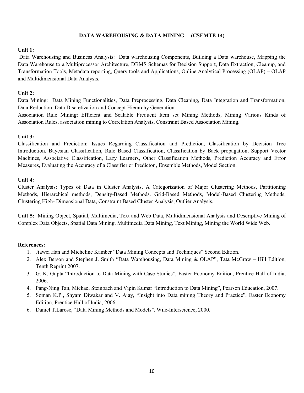# DATA WAREHOUSING & DATA MINING (CSEMTE 14)

#### Unit 1:

 Data Warehousing and Business Analysis: Data warehousing Components, Building a Data warehouse, Mapping the Data Warehouse to a Multiprocessor Architecture, DBMS Schemas for Decision Support, Data Extraction, Cleanup, and Transformation Tools, Metadata reporting, Query tools and Applications, Online Analytical Processing (OLAP) – OLAP and Multidimensional Data Analysis.

#### Unit 2:

Data Mining: Data Mining Functionalities, Data Preprocessing, Data Cleaning, Data Integration and Transformation, Data Reduction, Data Discretization and Concept Hierarchy Generation.

Association Rule Mining: Efficient and Scalable Frequent Item set Mining Methods, Mining Various Kinds of Association Rules, association mining to Correlation Analysis, Constraint Based Association Mining.

#### Unit 3:

Classification and Prediction: Issues Regarding Classification and Prediction, Classification by Decision Tree Introduction, Bayesian Classification, Rule Based Classification, Classification by Back propagation, Support Vector Machines, Associative Classification, Lazy Learners, Other Classification Methods, Prediction Accuracy and Error Measures, Evaluating the Accuracy of a Classifier or Predictor , Ensemble Methods, Model Section.

#### Unit 4:

Cluster Analysis: Types of Data in Cluster Analysis, A Categorization of Major Clustering Methods, Partitioning Methods, Hierarchical methods, Density-Based Methods. Grid-Based Methods, Model-Based Clustering Methods, Clustering High- Dimensional Data, Constraint Based Cluster Analysis, Outlier Analysis.

Unit 5: Mining Object, Spatial, Multimedia, Text and Web Data, Multidimensional Analysis and Descriptive Mining of Complex Data Objects, Spatial Data Mining, Multimedia Data Mining, Text Mining, Mining the World Wide Web.

- 1. Jiawei Han and Micheline Kamber "Data Mining Concepts and Techniques" Second Edition.
- 2. Alex Berson and Stephen J. Smith "Data Warehousing, Data Mining & OLAP", Tata McGraw Hill Edition, Tenth Reprint 2007.
- 3. G. K. Gupta "Introduction to Data Mining with Case Studies", Easter Economy Edition, Prentice Hall of India, 2006.
- 4. Pang-Ning Tan, Michael Steinbach and Vipin Kumar "Introduction to Data Mining", Pearson Education, 2007.
- 5. Soman K.P., Shyam Diwakar and V. Ajay, "Insight into Data mining Theory and Practice", Easter Economy Edition, Prentice Hall of India, 2006.
- 6. Daniel T.Larose, "Data Mining Methods and Models", Wile-Interscience, 2000.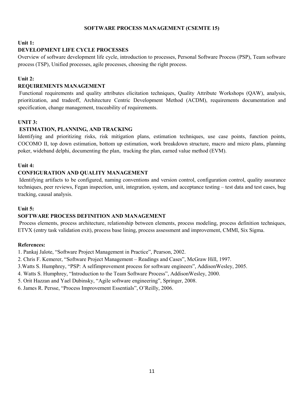#### SOFTWARE PROCESS MANAGEMENT (CSEMTE 15)

#### Unit 1:

#### DEVELOPMENT LIFE CYCLE PROCESSES

Overview of software development life cycle, introduction to processes, Personal Software Process (PSP), Team software process (TSP), Unified processes, agile processes, choosing the right process.

# Unit 2:

# REQUIREMENTS MANAGEMENT

 Functional requirements and quality attributes elicitation techniques, Quality Attribute Workshops (QAW), analysis, prioritization, and tradeoff, Architecture Centric Development Method (ACDM), requirements documentation and specification, change management, traceability of requirements.

# UNIT 3:

# ESTIMATION, PLANNING, AND TRACKING

Identifying and prioritizing risks, risk mitigation plans, estimation techniques, use case points, function points, COCOMO II, top down estimation, bottom up estimation, work breakdown structure, macro and micro plans, planning poker, wideband delphi, documenting the plan, tracking the plan, earned value method (EVM).

#### Unit 4:

# CONFIGURATION AND QUALITY MANAGEMENT

 Identifying artifacts to be configured, naming conventions and version control, configuration control, quality assurance techniques, peer reviews, Fegan inspection, unit, integration, system, and acceptance testing – test data and test cases, bug tracking, causal analysis.

#### Unit 5:

# SOFTWARE PROCESS DEFINITION AND MANAGEMENT

 Process elements, process architecture, relationship between elements, process modeling, process definition techniques, ETVX (entry task validation exit), process base lining, process assessment and improvement, CMMI, Six Sigma.

#### References:

1. Pankaj Jalote, "Software Project Management in Practice", Pearson, 2002.

- 2. Chris F. Kemerer, "Software Project Management Readings and Cases", McGraw Hill, 1997.
- 3.Watts S. Humphrey, "PSP: A selfimprovement process for software engineers", AddisonWesley, 2005.
- 4. Watts S. Humphrey, "Introduction to the Team Software Process", AddisonWesley, 2000.
- 5. Orit Hazzan and Yael Dubinsky, "Agile software engineering", Springer, 2008.
- 6. James R. Persse, "Process Improvement Essentials", O'Reilly, 2006.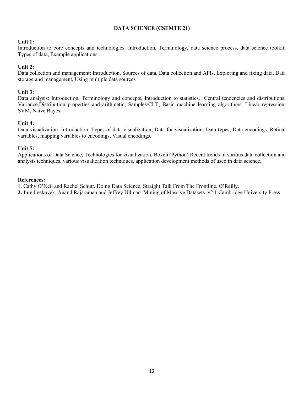# DATA SCIENCE (CSEMTE 21)

#### Unit 1:

Introduction to core concepts and technologies: Introduction, Terminology, data science process, data science toolkit, Types of data, Example applications.

#### Unit 2:

Data collection and management: Introduction, Sources of data, Data collection and APIs, Exploring and fixing data, Data storage and management, Using multiple data sources

#### Unit 3:

Data analysis: Introduction, Terminology and concepts, Introduction to statistics, Central tendencies and distributions, Variance,Distribution properties and arithmetic, Samples/CLT, Basic machine learning algorithms, Linear regression, SVM, Naive Bayes.

#### Unit 4:

Data visualization: Introduction, Types of data visualization, Data for visualization: Data types, Data encodings, Retinal variables, mapping variables to encodings, Visual encodings.

#### Unit 5:

Applications of Data Science, Technologies for visualization, Bokeh (Python) Recent trends in various data collection and analysis techniques, various visualization techniques, application development methods of used in data science.

#### References:

1. Cathy O'Neil and Rachel Schutt. Doing Data Science, Straight Talk From The Frontline. O'Reilly.

2. Jure Leskovek, Anand Rajaraman and Jeffrey Ullman. Mining of Massive Datasets. v2.1,Cambridge University Press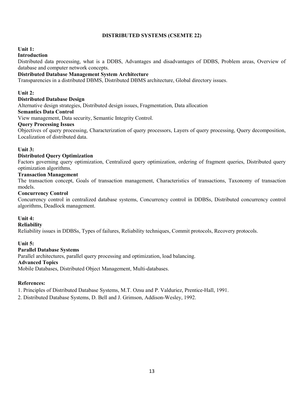# DISTRIBUTED SYSTEMS (CSEMTE 22)

#### Unit 1:

# Introduction

Distributed data processing, what is a DDBS, Advantages and disadvantages of DDBS, Problem areas, Overview of database and computer network concepts.

# Distributed Database Management System Architecture

Transparencies in a distributed DBMS, Distributed DBMS architecture, Global directory issues.

#### Unit 2:

## Distributed Database Design

Alternative design strategies, Distributed design issues, Fragmentation, Data allocation

# Semantics Data Control

View management, Data security, Semantic Integrity Control.

#### Query Processing Issues

Objectives of query processing, Characterization of query processors, Layers of query processing, Query decomposition, Localization of distributed data.

#### Unit 3:

# Distributed Query Optimization

Factors governing query optimization, Centralized query optimization, ordering of fragment queries, Distributed query optimization algorithms.

#### Transaction Management

The transaction concept, Goals of transaction management, Characteristics of transactions, Taxonomy of transaction models.

#### Concurrency Control

Concurrency control in centralized database systems, Concurrency control in DDBSs, Distributed concurrency control algorithms, Deadlock management.

#### Unit 4:

# Reliability

Reliability issues in DDBSs, Types of failures, Reliability techniques, Commit protocols, Recovery protocols.

#### Unit 5:

#### Parallel Database Systems

Parallel architectures, parallel query processing and optimization, load balancing.

#### Advanced Topics

Mobile Databases, Distributed Object Management, Multi-databases.

#### References:

1. Principles of Distributed Database Systems, M.T. Ozsu and P. Valduriez, Prentice-Hall, 1991.

2. Distributed Database Systems, D. Bell and J. Grimson, Addison-Wesley, 1992.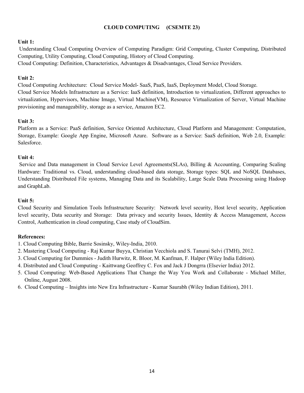# CLOUD COMPUTING (CSEMTE 23)

# Unit 1:

 Understanding Cloud Computing Overview of Computing Paradigm: Grid Computing, Cluster Computing, Distributed Computing, Utility Computing, Cloud Computing, History of Cloud Computing. Cloud Computing: Definition, Characteristics, Advantages & Disadvantages, Cloud Service Providers.

# Unit 2:

Cloud Computing Architecture: Cloud Service Model- SaaS, PaaS, IaaS, Deployment Model, Cloud Storage. Cloud Service Models Infrastructure as a Service: IaaS definition, Introduction to virtualization, Different approaches to virtualization, Hypervisors, Machine Image, Virtual Machine(VM), Resource Virtualization of Server, Virtual Machine provisioning and manageability, storage as a service, Amazon EC2.

# Unit 3:

Platform as a Service: PaaS definition, Service Oriented Architecture, Cloud Platform and Management: Computation, Storage, Example: Google App Engine, Microsoft Azure. Software as a Service: SaaS definition, Web 2.0, Example: Salesforce.

#### Unit 4:

 Service and Data management in Cloud Service Level Agreements(SLAs), Billing & Accounting, Comparing Scaling Hardware: Traditional vs. Cloud, understanding cloud-based data storage, Storage types: SQL and NoSQL Databases, Understanding Distributed File systems, Managing Data and its Scalability, Large Scale Data Processing using Hadoop and GraphLab.

#### Unit 5:

Cloud Security and Simulation Tools Infrastructure Security: Network level security, Host level security, Application level security, Data security and Storage: Data privacy and security Issues, Identity & Access Management, Access Control, Authentication in cloud computing, Case study of CloudSim.

- 1. Cloud Computing Bible, Barrie Sosinsky, Wiley-India, 2010.
- 2. Mastering Cloud Computing Raj Kumar Buyya, Christian Vecchiola and S. Tanurai Selvi (TMH), 2012.
- 3. Cloud Computing for Dummies Judith Hurwitz, R. Bloor, M. Kanfman, F. Halper (Wiley India Edition).
- 4. Distributed and Cloud Computing Kaittwang Geoffrey C. Fox and Jack J Dongrra (Elsevier India) 2012.
- 5. Cloud Computing: Web-Based Applications That Change the Way You Work and Collaborate Michael Miller, Online, August 2008.
- 6. Cloud Computing Insights into New Era Infrastructure Kumar Saurabh (Wiley Indian Edition), 2011.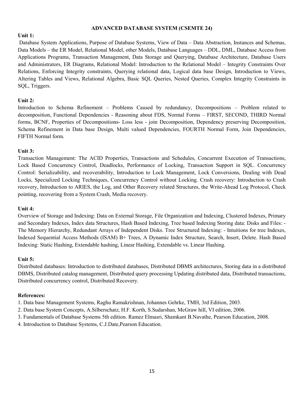#### ADVANCED DATABASE SYSTEM (CSEMTE 24)

# Unit 1:

 Database System Applications, Purpose of Database Systems, View of Data – Data Abstraction, Instances and Schemas, Data Models – the ER Model, Relational Model, other Models, Database Languages – DDL, DML, Database Access from Applications Programs, Transaction Management, Data Storage and Querying, Database Architecture, Database Users and Administrators, ER Diagrams, Relational Model: Introduction to the Relational Model – Integrity Constraints Over Relations, Enforcing Integrity constraints, Querying relational data, Logical data base Design, Introduction to Views, Altering Tables and Views, Relational Algebra, Basic SQL Queries, Nested Queries, Complex Integrity Constraints in SQL, Triggers.

# Unit 2:

Introduction to Schema Refinement – Problems Caused by redundancy, Decompositions – Problem related to decomposition, Functional Dependencies - Reasoning about FDS, Normal Forms – FIRST, SECOND, THIRD Normal forms, BCNF, Properties of Decompositions- Loss less - join Decomposition, Dependency preserving Decomposition, Schema Refinement in Data base Design, Multi valued Dependencies, FOURTH Normal Form, Join Dependencies, FIFTH Normal form.

# Unit 3:

Transaction Management: The ACID Properties, Transactions and Schedules, Concurrent Execution of Transactions, Lock Based Concurrency Control, Deadlocks, Performance of Locking, Transaction Support in SQL. Concurrency Control: Serializability, and recoverability, Introduction to Lock Management, Lock Conversions, Dealing with Dead Locks, Specialized Locking Techniques, Concurrency Control without Locking. Crash recovery: Introduction to Crash recovery, Introduction to ARIES, the Log, and Other Recovery related Structures, the Write-Ahead Log Protocol, Check pointing, recovering from a System Crash, Media recovery.

#### Unit 4:

Overview of Storage and Indexing: Data on External Storage, File Organization and Indexing, Clustered Indexes, Primary and Secondary Indexes, Index data Structures, Hash Based Indexing, Tree based Indexing Storing data: Disks and Files: - The Memory Hierarchy, Redundant Arrays of Independent Disks. Tree Structured Indexing: - Intuitions for tree Indexes, Indexed Sequential Access Methods (ISAM) B+ Trees, A Dynamic Index Structure, Search, Insert, Delete. Hash Based Indexing: Static Hashing, Extendable hashing, Linear Hashing, Extendable vs. Linear Hashing.

#### Unit 5:

Distributed databases: Introduction to distributed databases, Distributed DBMS architectures, Storing data in a distributed DBMS, Distributed catalog management, Distributed query processing Updating distributed data, Distributed transactions, Distributed concurrency control, Distributed Recovery.

- 1. Data base Management Systems, Raghu Ramakrishnan, Johannes Gehrke, TMH, 3rd Edition, 2003.
- 2. Data base System Concepts, A.Silberschatz, H.F. Korth, S.Sudarshan, McGraw hill, VI edition, 2006.
- 3. Fundamentals of Database Systems 5th edition. Ramez Elmasri, Shamkant B.Navathe, Pearson Education, 2008.
- 4. Introduction to Database Systems, C.J.Date,Pearson Education.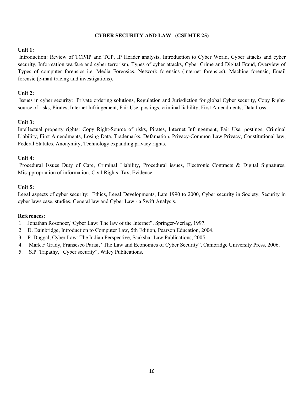# CYBER SECURITY AND LAW (CSEMTE 25)

## Unit 1:

 Introduction: Review of TCP/IP and TCP, IP Header analysis, Introduction to Cyber World, Cyber attacks and cyber security, Information warfare and cyber terrorism, Types of cyber attacks, Cyber Crime and Digital Fraud, Overview of Types of computer forensics i.e. Media Forensics, Network forensics (internet forensics), Machine forensic, Email forensic (e-mail tracing and investigations).

# Unit 2:

 Issues in cyber security: Private ordering solutions, Regulation and Jurisdiction for global Cyber security, Copy Rightsource of risks, Pirates, Internet Infringement, Fair Use, postings, criminal liability, First Amendments, Data Loss.

# Unit 3:

Intellectual property rights: Copy Right-Source of risks, Pirates, Internet Infringement, Fair Use, postings, Criminal Liability, First Amendments, Losing Data, Trademarks, Defamation, Privacy-Common Law Privacy, Constitutional law, Federal Statutes, Anonymity, Technology expanding privacy rights.

# Unit 4:

 Procedural Issues Duty of Care, Criminal Liability, Procedural issues, Electronic Contracts & Digital Signatures, Misappropriation of information, Civil Rights, Tax, Evidence.

#### Unit 5:

Legal aspects of cyber security: Ethics, Legal Developments, Late 1990 to 2000, Cyber security in Society, Security in cyber laws case. studies, General law and Cyber Law - a Swift Analysis.

- 1. Jonathan Rosenoer,"Cyber Law: The law of the Internet", Springer-Verlag, 1997.
- 2. D. Bainbridge, Introduction to Computer Law, 5th Edition, Pearson Education, 2004.
- 3. P. Duggal, Cyber Law: The Indian Perspective, Saakshar Law Publications, 2005.
- 4. Mark F Grady, Fransesco Parisi, "The Law and Economics of Cyber Security", Cambridge University Press, 2006.
- 5. S.P. Tripathy, "Cyber security", Wiley Publications.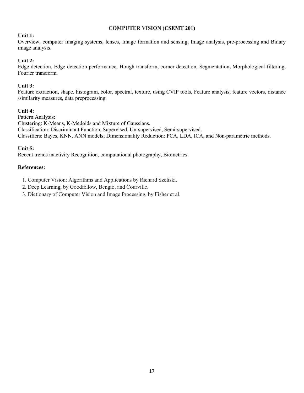#### COMPUTER VISION (CSEMT 201)

# Unit 1:

Overview, computer imaging systems, lenses, Image formation and sensing, Image analysis, pre-processing and Binary image analysis.

# Unit 2:

Edge detection, Edge detection performance, Hough transform, corner detection, Segmentation, Morphological filtering, Fourier transform.

# Unit 3:

Feature extraction, shape, histogram, color, spectral, texture, using CVIP tools, Feature analysis, feature vectors, distance /similarity measures, data preprocessing.

# Unit 4:

Pattern Analysis: Clustering: K-Means, K-Medoids and Mixture of Gaussians. Classification: Discriminant Function, Supervised, Un-supervised, Semi-supervised. Classifiers: Bayes, KNN, ANN models; Dimensionality Reduction: PCA, LDA, ICA, and Non-parametric methods.

# Unit 5:

Recent trends inactivity Recognition, computational photography, Biometrics.

# References:

1. Computer Vision: Algorithms and Applications by Richard Szeliski.

2. Deep Learning, by Goodfellow, Bengio, and Courville.

3. Dictionary of Computer Vision and Image Processing, by Fisher et al.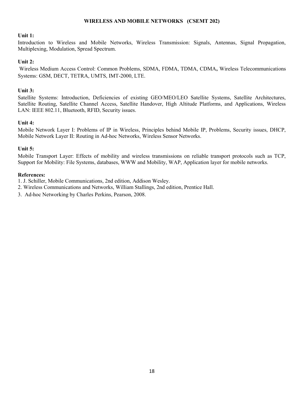#### WIRELESS AND MOBILE NETWORKS (CSEMT 202)

#### Unit 1:

Introduction to Wireless and Mobile Networks, Wireless Transmission: Signals, Antennas, Signal Propagation, Multiplexing, Modulation, Spread Spectrum.

#### Unit 2:

 Wireless Medium Access Control: Common Problems, SDMA, FDMA, TDMA, CDMA, Wireless Telecommunications Systems: GSM, DECT, TETRA, UMTS, IMT-2000, LTE.

# Unit 3:

Satellite Systems: Introduction, Deficiencies of existing GEO/MEO/LEO Satellite Systems, Satellite Architectures, Satellite Routing, Satellite Channel Access, Satellite Handover, High Altitude Platforms, and Applications, Wireless LAN: IEEE 802.11, Bluetooth, RFID, Security issues.

#### Unit 4:

Mobile Network Layer I: Problems of IP in Wireless, Principles behind Mobile IP, Problems, Security issues, DHCP, Mobile Network Layer II: Routing in Ad-hoc Networks, Wireless Sensor Networks.

#### Unit 5:

Mobile Transport Layer: Effects of mobility and wireless transmissions on reliable transport protocols such as TCP, Support for Mobility: File Systems, databases, WWW and Mobility, WAP, Application layer for mobile networks.

#### References:

1. J. Schiller, Mobile Communications, 2nd edition, Addison Wesley.

2. Wireless Communications and Networks, William Stallings, 2nd edition, Prentice Hall.

3. Ad-hoc Networking by Charles Perkins, Pearson, 2008.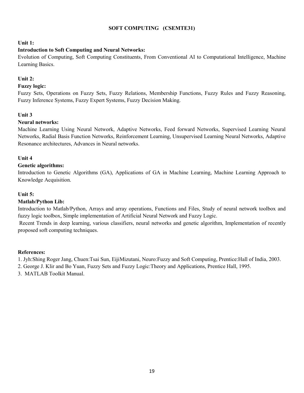# SOFT COMPUTING (CSEMTE31)

#### Unit 1:

#### Introduction to Soft Computing and Neural Networks:

Evolution of Computing, Soft Computing Constituents, From Conventional AI to Computational Intelligence, Machine Learning Basics.

#### Unit 2:

#### Fuzzy logic:

Fuzzy Sets, Operations on Fuzzy Sets, Fuzzy Relations, Membership Functions, Fuzzy Rules and Fuzzy Reasoning, Fuzzy Inference Systems, Fuzzy Expert Systems, Fuzzy Decision Making.

#### Unit 3

#### Neural networks:

Machine Learning Using Neural Network, Adaptive Networks, Feed forward Networks, Supervised Learning Neural Networks, Radial Basis Function Networks, Reinforcement Learning, Unsupervised Learning Neural Networks, Adaptive Resonance architectures, Advances in Neural networks.

#### Unit 4

#### Genetic algorithms:

Introduction to Genetic Algorithms (GA), Applications of GA in Machine Learning, Machine Learning Approach to Knowledge Acquisition.

#### Unit 5:

#### Matlab/Python Lib:

Introduction to Matlab/Python, Arrays and array operations, Functions and Files, Study of neural network toolbox and fuzzy logic toolbox, Simple implementation of Artificial Neural Network and Fuzzy Logic.

 Recent Trends in deep learning, various classifiers, neural networks and genetic algorithm, Implementation of recently proposed soft computing techniques.

#### References:

1. Jyh:Shing Roger Jang, Chuen:Tsai Sun, EijiMizutani, Neuro:Fuzzy and Soft Computing, Prentice:Hall of India, 2003.

2. George J. Klir and Bo Yuan, Fuzzy Sets and Fuzzy Logic:Theory and Applications, Prentice Hall, 1995.

3. MATLAB Toolkit Manual.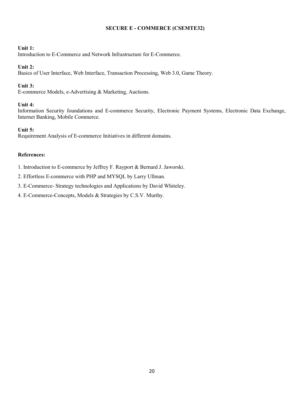# SECURE E - COMMERCE (CSEMTE32)

# Unit 1:

Introduction to E-Commerce and Network Infrastructure for E-Commerce.

# Unit 2:

Basics of User Interface, Web Interface, Transaction Processing, Web 3.0, Game Theory.

# Unit 3:

E-commerce Models, e-Advertising & Marketing, Auctions.

# Unit 4:

Information Security foundations and E-commerce Security, Electronic Payment Systems, Electronic Data Exchange, Internet Banking, Mobile Commerce.

# Unit 5:

Requirement Analysis of E-commerce Initiatives in different domains.

# References:

1. Introduction to E-commerce by Jeffrey F. Rayport & Bernard J. Jaworski.

2. Effortless E-commerce with PHP and MYSQL by Larry Ullman.

3. E-Commerce- Strategy technologies and Applications by David Whiteley.

4. E-Commerce-Concepts, Models & Strategies by C.S.V. Murthy.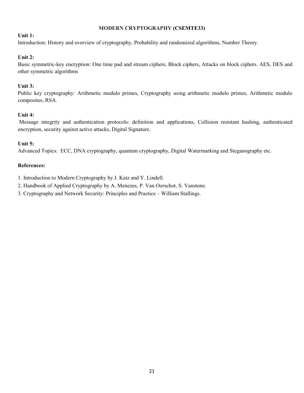# MODERN CRYPTOGRAPHY (CSEMTE33)

# Unit 1:

Introduction: History and overview of cryptography, Probability and randomized algorithms, Number Theory.

# Unit 2:

Basic symmetric-key encryption: One time pad and stream ciphers, Block ciphers, Attacks on block ciphers. AES, DES and other symmetric algorithms

# Unit 3:

Public key cryptography: Arithmetic modulo primes, Cryptography using arithmetic modulo primes, Arithmetic modulo composites, RSA.

# Unit 4:

 Message integrity and authentication protocols: definition and applications, Collision resistant hashing, authenticated encryption, security against active attacks, Digital Signature.

# Unit 5:

Advanced Topics: ECC, DNA cryptography, quantum cryptography, Digital Watermarking and Steganography etc.

# References:

1. Introduction to Modern Cryptography by J. Katz and Y. Lindell.

2. Handbook of Applied Cryptography by A. Menezes, P. Van Oorschot, S. Vanstone.

3. Cryptography and Network Security: Principles and Practice – William Stallings.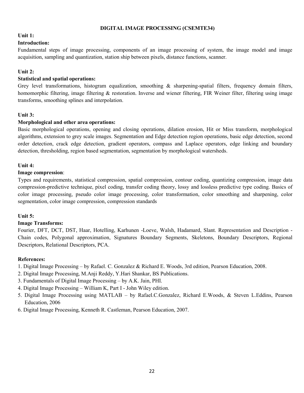#### DIGITAL IMAGE PROCESSING (CSEMTE34)

## Unit 1:

#### Introduction:

Fundamental steps of image processing, components of an image processing of system, the image model and image acquisition, sampling and quantization, station ship between pixels, distance functions, scanner.

# Unit 2:

# Statistical and spatial operations:

Grey level transformations, histogram equalization, smoothing  $\&$  sharpening-spatial filters, frequency domain filters, homomorphic filtering, image filtering & restoration. Inverse and wiener filtering, FIR Weiner filter, filtering using image transforms, smoothing splines and interpolation.

# Unit 3:

# Morphological and other area operations:

Basic morphological operations, opening and closing operations, dilation erosion, Hit or Miss transform, morphological algorithms, extension to grey scale images. Segmentation and Edge detection region operations, basic edge detection, second order detection, crack edge detection, gradient operators, compass and Laplace operators, edge linking and boundary detection, thresholding, region based segmentation, segmentation by morphological watersheds.

# Unit 4:

# Image compression:

Types and requirements, statistical compression, spatial compression, contour coding, quantizing compression, image data compression-predictive technique, pixel coding, transfer coding theory, lossy and lossless predictive type coding. Basics of color image processing, pseudo color image processing, color transformation, color smoothing and sharpening, color segmentation, color image compression, compression standards

# Unit 5:

# Image Transforms:

Fourier, DFT, DCT, DST, Haar, Hotelling, Karhunen -Loeve, Walsh, Hadamard, Slant. Representation and Description - Chain codes, Polygonal approximation, Signatures Boundary Segments, Skeletons, Boundary Descriptors, Regional Descriptors, Relational Descriptors, PCA.

- 1. Digital Image Processing by Rafael. C. Gonzalez & Richard E. Woods, 3rd edition, Pearson Education, 2008.
- 2. Digital Image Processing, M.Anji Reddy, Y.Hari Shankar, BS Publications.
- 3. Fundamentals of Digital Image Processing by A.K. Jain, PHI.
- 4. Digital Image Processing William K, Part I John Wiley edition.
- 5. Digital Image Processing using MATLAB by Rafael.C.Gonzalez, Richard E.Woods, & Steven L.Eddins, Pearson Education, 2006
- 6. Digital Image Processing, Kenneth R. Castleman, Pearson Education, 2007.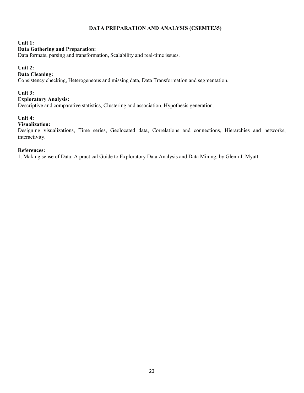# DATA PREPARATION AND ANALYSIS (CSEMTE35)

#### Unit 1:

#### Data Gathering and Preparation:

Data formats, parsing and transformation, Scalability and real-time issues.

#### Unit 2:

#### Data Cleaning:

Consistency checking, Heterogeneous and missing data, Data Transformation and segmentation.

#### Unit 3:

#### Exploratory Analysis:

Descriptive and comparative statistics, Clustering and association, Hypothesis generation.

#### Unit 4:

#### Visualization:

Designing visualizations, Time series, Geolocated data, Correlations and connections, Hierarchies and networks, interactivity.

# References:

1. Making sense of Data: A practical Guide to Exploratory Data Analysis and Data Mining, by Glenn J. Myatt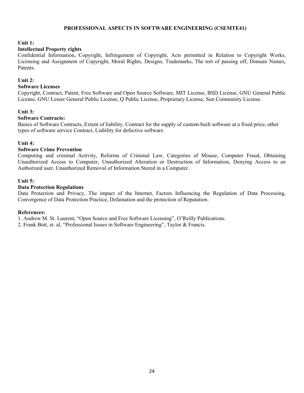## PROFESSIONAL ASPECTS IN SOFTWARE ENGINEERING (CSEMTE41)

Unit 1:

#### Intellectual Property rights

Confidential Information, Copyright, Infringement of Copyright, Acts permitted in Relation to Copyright Works, Licensing and Assignment of Copyright, Moral Rights, Designs, Trademarks, The tort of passing off, Domain Names, Patents.

#### Unit 2:

#### Software Licenses

Copyright, Contract, Patent, Free Software and Open Source Software, MIT License, BSD License, GNU General Public License, GNU Lesser General Public License, Q Public License, Proprietary License, Sun Community License.

#### Unit 3:

#### Software Contracts:

Basics of Software Contracts, Extent of liability, Contract for the supply of custom-built software at a fixed price, other types of software service Contract, Liability for defective software.

#### Unit 4:

#### Software Crime Prevention

Computing and criminal Activity, Reforms of Criminal Law, Categories of Misuse, Computer Fraud, Obtaining Unauthorized Access to Computer, Unauthorized Alteration or Destruction of Information, Denying Access to an Authorized user, Unauthorized Removal of Information Stored in a Computer.

#### Unit 5:

#### Data Protection Regulations

Data Protection and Privacy, The impact of the Internet, Factors Influencing the Regulation of Data Processing, Convergence of Data Protection Practice, Defamation and the protection of Reputation.

#### References:

1. Andrew M. St. Laurent, "Open Source and Free Software Licensing", O'Reilly Publications.

2. Frank Bott, et. al, "Professional Issues in Software Engineering", Taylor & Francis.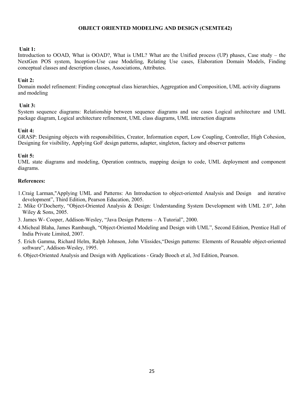#### OBJECT ORIENTED MODELING AND DESIGN (CSEMTE42)

#### Unit 1:

Introduction to OOAD, What is OOAD?, What is UML? What are the Unified process (UP) phases, Case study – the NextGen POS system, Inception-Use case Modeling, Relating Use cases, Elaboration Domain Models, Finding conceptual classes and description classes, Associations, Attributes.

#### Unit 2:

Domain model refinement: Finding conceptual class hierarchies, Aggregation and Composition, UML activity diagrams and modeling

#### Unit 3:

System sequence diagrams: Relationship between sequence diagrams and use cases Logical architecture and UML package diagram, Logical architecture refinement, UML class diagrams, UML interaction diagrams

# Unit 4:

GRASP: Designing objects with responsibilities, Creator, Information expert, Low Coupling, Controller, High Cohesion, Designing for visibility, Applying GoF design patterns, adapter, singleton, factory and observer patterns

#### Unit 5:

UML state diagrams and modeling, Operation contracts, mapping design to code, UML deployment and component diagrams.

- 1.Craig Larman,"Applying UML and Patterns: An Introduction to object-oriented Analysis and Design and iterative development", Third Edition, Pearson Education, 2005.
- 2. Mike O'Docherty, "Object-Oriented Analysis & Design: Understanding System Development with UML 2.0", John Wiley & Sons, 2005.
- 3. James W- Cooper, Addison-Wesley, "Java Design Patterns A Tutorial", 2000.
- 4.Micheal Blaha, James Rambaugh, "Object-Oriented Modeling and Design with UML", Second Edition, Prentice Hall of India Private Limited, 2007.
- 5. Erich Gamma, Richard Helm, Ralph Johnson, John Vlissides,"Design patterns: Elements of Reusable object-oriented software", Addison-Wesley, 1995.
- 6. Object-Oriented Analysis and Design with Applications Grady Booch et al, 3rd Edition, Pearson.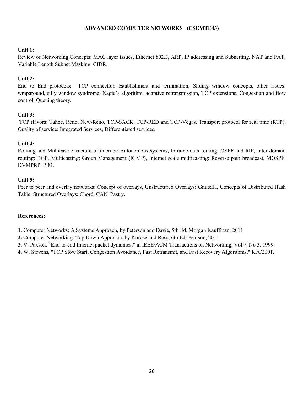# ADVANCED COMPUTER NETWORKS (CSEMTE43)

#### Unit 1:

Review of Networking Concepts: MAC layer issues, Ethernet 802.3, ARP, IP addressing and Subnetting, NAT and PAT, Variable Length Subnet Masking, CIDR.

# Unit 2:

End to End protocols: TCP connection establishment and termination, Sliding window concepts, other issues: wraparound, silly window syndrome, Nagle's algorithm, adaptive retransmission, TCP extensions. Congestion and flow control, Queuing theory.

# Unit 3:

 TCP flavors: Tahoe, Reno, New-Reno, TCP-SACK, TCP-RED and TCP-Vegas. Transport protocol for real time (RTP), Quality of service: Integrated Services, Differentiated services.

# Unit 4:

Routing and Multicast: Structure of internet: Autonomous systems, Intra-domain routing: OSPF and RIP, Inter-domain routing: BGP. Multicasting: Group Management (IGMP), Internet scale multicasting: Reverse path broadcast, MOSPF, DVMPRP, PIM.

#### Unit 5:

Peer to peer and overlay networks: Concept of overlays, Unstructured Overlays: Gnutella, Concepts of Distributed Hash Table, Structured Overlays: Chord, CAN, Pastry.

#### References:

1. Computer Networks: A Systems Approach, by Peterson and Davie, 5th Ed. Morgan Kauffman, 2011

2. Computer Networking: Top Down Approach, by Kurose and Ross, 6th Ed. Pearson, 2011

3. V. Paxson. "End-to-end Internet packet dynamics," in IEEE/ACM Transactions on Networking, Vol 7, No 3, 1999.

4. W. Stevens, "TCP Slow Start, Congestion Avoidance, Fast Retransmit, and Fast Recovery Algorithms," RFC2001.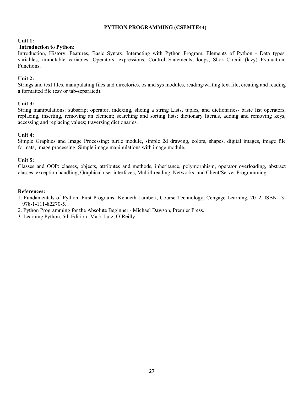# PYTHON PROGRAMMING (CSEMTE44)

#### Unit 1:

#### Introduction to Python:

Introduction, History, Features, Basic Syntax, Interacting with Python Program, Elements of Python - Data types, variables, immutable variables, Operators, expressions, Control Statements, loops, Short-Circuit (lazy) Evaluation, Functions.

#### Unit 2:

Strings and text files, manipulating files and directories, os and sys modules, reading/writing text file, creating and reading a formatted file (csv or tab-separated).

#### Unit 3:

String manipulations: subscript operator, indexing, slicing a string Lists, tuples, and dictionaries- basic list operators, replacing, inserting, removing an element; searching and sorting lists; dictionary literals, adding and removing keys, accessing and replacing values; traversing dictionaries.

#### Unit 4:

Simple Graphics and Image Processing: turtle module, simple 2d drawing, colors, shapes, digital images, image file formats, image processing, Simple image manipulations with image module.

#### Unit 5:

Classes and OOP: classes, objects, attributes and methods, inheritance, polymorphism, operator overloading, abstract classes, exception handling, Graphical user interfaces, Multithreading, Networks, and Client/Server Programming.

- 1. Fundamentals of Python: First Programs- Kenneth Lambert, Course Technology, Cengage Learning, 2012, ISBN-13: 978-1-111-82270-5.
- 2. Python Programming for the Absolute Beginner Michael Dawson, Premier Press.
- 3. Learning Python, 5th Edition- Mark Lutz, O'Reilly.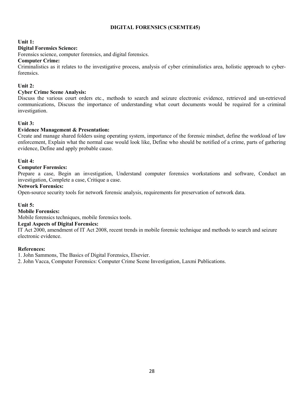# DIGITAL FORENSICS (CSEMTE45)

#### Unit 1:

## Digital Forensics Science:

Forensics science, computer forensics, and digital forensics.

#### Computer Crime:

Criminalistics as it relates to the investigative process, analysis of cyber criminalistics area, holistic approach to cyberforensics.

# Unit 2:

# Cyber Crime Scene Analysis:

Discuss the various court orders etc., methods to search and seizure electronic evidence, retrieved and un-retrieved communications, Discuss the importance of understanding what court documents would be required for a criminal investigation.

# Unit 3:

# Evidence Management & Presentation:

Create and manage shared folders using operating system, importance of the forensic mindset, define the workload of law enforcement, Explain what the normal case would look like, Define who should be notified of a crime, parts of gathering evidence, Define and apply probable cause.

#### Unit 4:

# Computer Forensics:

Prepare a case, Begin an investigation, Understand computer forensics workstations and software, Conduct an investigation, Complete a case, Critique a case.

#### Network Forensics:

Open-source security tools for network forensic analysis, requirements for preservation of network data.

# Unit 5:

#### Mobile Forensics:

Mobile forensics techniques, mobile forensics tools.

#### Legal Aspects of Digital Forensics:

IT Act 2000, amendment of IT Act 2008, recent trends in mobile forensic technique and methods to search and seizure electronic evidence.

#### References:

1. John Sammons, The Basics of Digital Forensics, Elsevier.

2. John Vacca, Computer Forensics: Computer Crime Scene Investigation, Laxmi Publications.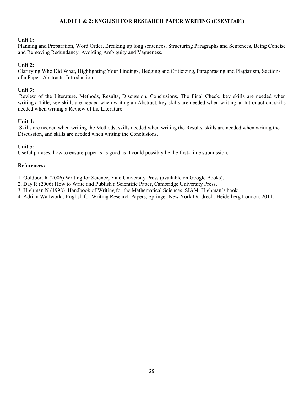#### AUDIT 1 & 2: ENGLISH FOR RESEARCH PAPER WRITING (CSEMTA01)

#### Unit 1:

Planning and Preparation, Word Order, Breaking up long sentences, Structuring Paragraphs and Sentences, Being Concise and Removing Redundancy, Avoiding Ambiguity and Vagueness.

#### Unit 2:

Clarifying Who Did What, Highlighting Your Findings, Hedging and Criticizing, Paraphrasing and Plagiarism, Sections of a Paper, Abstracts, Introduction.

#### Unit 3:

 Review of the Literature, Methods, Results, Discussion, Conclusions, The Final Check. key skills are needed when writing a Title, key skills are needed when writing an Abstract, key skills are needed when writing an Introduction, skills needed when writing a Review of the Literature.

#### Unit 4:

 Skills are needed when writing the Methods, skills needed when writing the Results, skills are needed when writing the Discussion, and skills are needed when writing the Conclusions.

# Unit 5:

Useful phrases, how to ensure paper is as good as it could possibly be the first- time submission.

#### References:

1. Goldbort R (2006) Writing for Science, Yale University Press (available on Google Books).

2. Day R (2006) How to Write and Publish a Scientific Paper, Cambridge University Press.

3. Highman N (1998), Handbook of Writing for the Mathematical Sciences, SIAM. Highman's book.

4. Adrian Wallwork , English for Writing Research Papers, Springer New York Dordrecht Heidelberg London, 2011.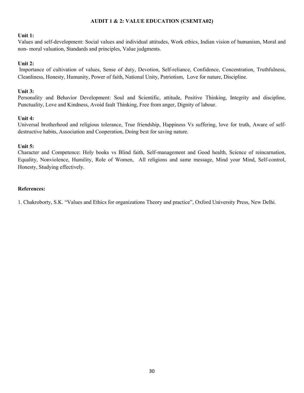# AUDIT 1 & 2: VALUE EDUCATION (CSEMTA02)

#### Unit 1:

Values and self-development: Social values and individual attitudes, Work ethics, Indian vision of humanism, Moral and non- moral valuation, Standards and principles, Value judgments.

# Unit 2:

 Importance of cultivation of values, Sense of duty, Devotion, Self-reliance, Confidence, Concentration, Truthfulness, Cleanliness, Honesty, Humanity, Power of faith, National Unity, Patriotism, Love for nature, Discipline.

#### Unit 3:

Personality and Behavior Development: Soul and Scientific, attitude, Positive Thinking, Integrity and discipline, Punctuality, Love and Kindness, Avoid fault Thinking, Free from anger, Dignity of labour.

#### Unit 4:

Universal brotherhood and religious tolerance, True friendship, Happiness Vs suffering, love for truth, Aware of selfdestructive habits, Association and Cooperation, Doing best for saving nature.

#### Unit 5:

Character and Competence: Holy books vs Blind faith, Self-management and Good health, Science of reincarnation, Equality, Nonviolence, Humility, Role of Women, All religions and same message, Mind your Mind, Self-control, Honesty, Studying effectively.

#### References:

1. Chakroborty, S.K. "Values and Ethics for organizations Theory and practice", Oxford University Press, New Delhi.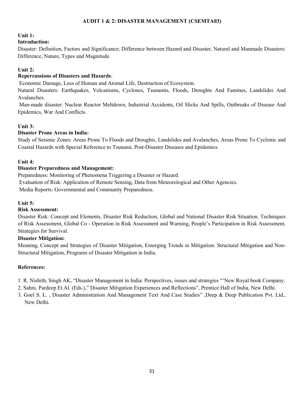# AUDIT 1 & 2: DISASTER MANAGEMENT (CSEMTA03)

# Unit 1:

# Introduction:

Disaster: Definition, Factors and Significance; Difference between Hazard and Disaster, Natural and Manmade Disasters: Difference, Nature, Types and Magnitude.

# Unit 2:

# Repercussions of Disasters and Hazards:

Economic Damage, Loss of Human and Animal Life, Destruction of Ecosystem.

Natural Disasters: Earthquakes, Volcanisms, Cyclones, Tsunamis, Floods, Droughts And Famines, Landslides And Avalanches.

 Man-made disaster: Nuclear Reactor Meltdown, Industrial Accidents, Oil Slicks And Spills, Outbreaks of Disease And Epidemics, War And Conflicts.

# Unit 3:

# Disaster Prone Areas in India:

Study of Seismic Zones: Areas Prone To Floods and Droughts, Landslides and Avalanches, Areas Prone To Cyclonic and Coastal Hazards with Special Reference to Tsunami, Post-Disaster Diseases and Epidemics.

# Unit 4:

# Disaster Preparedness and Management:

Preparedness: Monitoring of Phenomena Triggering a Disaster or Hazard. Evaluation of Risk: Application of Remote Sensing, Data from Meteorological and Other Agencies. Media Reports: Governmental and Community Preparedness.

#### Unit 5:

#### Risk Assessment:

Disaster Risk: Concept and Elements, Disaster Risk Reduction, Global and National Disaster Risk Situation. Techniques of Risk Assessment, Global Co - Operation in Risk Assessment and Warning, People's Participation in Risk Assessment. Strategies for Survival.

#### Disaster Mitigation:

Meaning, Concept and Strategies of Disaster Mitigation, Emerging Trends in Mitigation. Structural Mitigation and Non-Structural Mitigation, Programs of Disaster Mitigation in India.

- 1. R. Nishith, Singh AK, "Disaster Management in India: Perspectives, issues and strategies "'New Royal book Company.
- 2. Sahni, Pardeep Et.Al. (Eds.)," Disaster Mitigation Experiences and Reflections", Prentice Hall of India, New Delhi.
- 3. Goel S. L. , Disaster Administration And Management Text And Case Studies" ,Deep & Deep Publication Pvt. Ltd., New Delhi.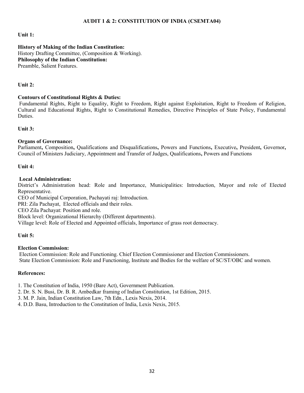#### AUDIT 1 & 2: CONSTITUTION OF INDIA (CSEMTA04)

#### Unit 1:

History of Making of the Indian Constitution: History Drafting Committee, (Composition & Working). Philosophy of the Indian Constitution: Preamble, Salient Features.

#### Unit 2:

#### Contours of Constitutional Rights & Duties:

 Fundamental Rights, Right to Equality, Right to Freedom, Right against Exploitation, Right to Freedom of Religion, Cultural and Educational Rights, Right to Constitutional Remedies, Directive Principles of State Policy, Fundamental Duties.

Unit 3:

#### Organs of Governance:

Parliament, Composition, Qualifications and Disqualifications, Powers and Functions, Executive, President, Governor, Council of Ministers Judiciary, Appointment and Transfer of Judges, Qualifications, Powers and Functions

Unit 4:

#### Local Administration:

District's Administration head: Role and Importance, Municipalities: Introduction, Mayor and role of Elected Representative.

CEO of Municipal Corporation, Pachayati raj: Introduction.

PRI: Zila Pachayat, Elected officials and their roles.

CEO Zila Pachayat: Position and role.

Block level: Organizational Hierarchy (Different departments).

Village level: Role of Elected and Appointed officials, Importance of grass root democracy.

#### Unit 5:

#### Election Commission:

 Election Commission: Role and Functioning. Chief Election Commissioner and Election Commissioners. State Election Commission: Role and Functioning, Institute and Bodies for the welfare of SC/ST/OBC and women.

#### References:

1. The Constitution of India, 1950 (Bare Act), Government Publication.

2. Dr. S. N. Busi, Dr. B. R. Ambedkar framing of Indian Constitution, 1st Edition, 2015.

3. M. P. Jain, Indian Constitution Law, 7th Edn., Lexis Nexis, 2014.

4. D.D. Basu, Introduction to the Constitution of India, Lexis Nexis, 2015.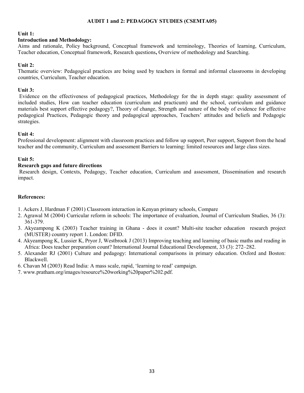#### AUDIT 1 and 2: PEDAGOGY STUDIES (CSEMTA05)

## Unit 1:

#### Introduction and Methodology:

Aims and rationale, Policy background, Conceptual framework and terminology, Theories of learning, Curriculum, Teacher education, Conceptual framework, Research questions, Overview of methodology and Searching.

# Unit 2:

Thematic overview: Pedagogical practices are being used by teachers in formal and informal classrooms in developing countries, Curriculum, Teacher education.

# Unit 3:

 Evidence on the effectiveness of pedagogical practices, Methodology for the in depth stage: quality assessment of included studies, How can teacher education (curriculum and practicum) and the school, curriculum and guidance materials best support effective pedagogy?, Theory of change, Strength and nature of the body of evidence for effective pedagogical Practices, Pedagogic theory and pedagogical approaches, Teachers' attitudes and beliefs and Pedagogic strategies.

# Unit 4:

Professional development: alignment with classroom practices and follow up support, Peer support, Support from the head teacher and the community, Curriculum and assessment Barriers to learning: limited resources and large class sizes.

# Unit 5:

# Research gaps and future directions

 Research design, Contexts, Pedagogy, Teacher education, Curriculum and assessment, Dissemination and research impact.

- 1. Ackers J, Hardman F (2001) Classroom interaction in Kenyan primary schools, Compare
- 2. Agrawal M (2004) Curricular reform in schools: The importance of evaluation, Journal of Curriculum Studies, 36 (3): 361-379.
- 3. Akyeampong K (2003) Teacher training in Ghana does it count? Multi-site teacher education research project (MUSTER) country report 1. London: DFID.
- 4. Akyeampong K, Lussier K, Pryor J, Westbrook J (2013) Improving teaching and learning of basic maths and reading in Africa: Does teacher preparation count? International Journal Educational Development, 33 (3): 272–282.
- 5. Alexander RJ (2001) Culture and pedagogy: International comparisons in primary education. Oxford and Boston: Blackwell.
- 6. Chavan M (2003) Read India: A mass scale, rapid, 'learning to read' campaign.
- 7. www.pratham.org/images/resource%20working%20paper%202.pdf.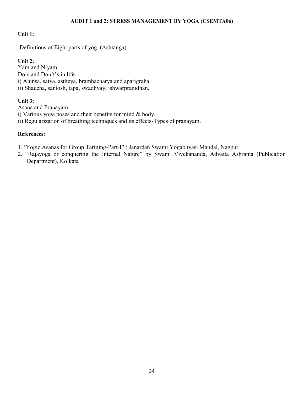## AUDIT 1 and 2: STRESS MANAGEMENT BY YOGA (CSEMTA06)

# Unit 1:

Definitions of Eight parts of yog. (Ashtanga)

# Unit 2:

Yam and Niyam Do`s and Don't's in life i) Ahinsa, satya, astheya, bramhacharya and aparigraha. ii) Shaucha, santosh, tapa, swadhyay, ishwarpranidhan.

# Unit 3:

Asana and Pranayam

i) Various yoga poses and their benefits for mind & body.

ii) Regularization of breathing techniques and its effects-Types of pranayam.

- 1. 'Yogic Asanas for Group Tarining-Part-I" : Janardan Swami Yogabhyasi Mandal, Nagpur
- 2. "Rajayoga or conquering the Internal Nature" by Swami Vivekananda, Advaita Ashrama (Publication Department), Kolkata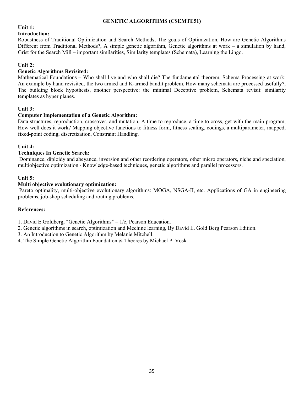## GENETIC ALGORITHMS (CSEMTE51)

# Unit 1:

# Introduction:

Robustness of Traditional Optimization and Search Methods, The goals of Optimization, How are Genetic Algorithms Different from Traditional Methods?, A simple genetic algorithm, Genetic algorithms at work – a simulation by hand, Grist for the Search Mill – important similarities, Similarity templates (Schemata), Learning the Lingo.

#### Unit 2:

# Genetic Algorithms Revisited:

Mathematical Foundations – Who shall live and who shall die? The fundamental theorem, Schema Processing at work: An example by hand revisited, the two armed and K-armed bandit problem, How many schemata are processed usefully?, The building block hypothesis, another perspective: the minimal Deceptive problem, Schemata revisit: similarity templates as hyper planes.

# Unit 3:

# Computer Implementation of a Genetic Algorithm:

Data structures, reproduction, crossover, and mutation, A time to reproduce, a time to cross, get with the main program, How well does it work? Mapping objective functions to fitness form, fitness scaling, codings, a multiparameter, mapped, fixed-point coding, discretization, Constraint Handling.

# Unit 4:

# Techniques In Genetic Search:

 Dominance, diploidy and abeyance, inversion and other reordering operators, other micro operators, niche and speciation, multiobjective optimization - Knowledge-based techniques, genetic algorithms and parallel processors.

#### Unit 5:

# Multi objective evolutionary optimization:

Pareto optimality, multi-objective evolutionary algorithms: MOGA, NSGA-II, etc. Applications of GA in engineering problems, job-shop scheduling and routing problems.

#### References:

1. David E.Goldberg, "Genetic Algorithms" – 1/e, Pearson Education.

2. Genetic algorithms in search, optimization and Mechine learning, By David E. Gold Berg Pearson Edition.

3. An Introduction to Genetic Algorithm by Melanie Mitchell.

4. The Simple Genetic Algorithm Foundation & Theores by Michael P. Vosk.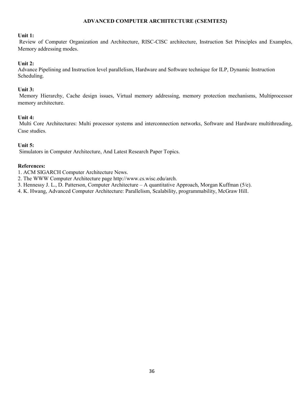# ADVANCED COMPUTER ARCHITECTURE (CSEMTE52)

#### Unit 1:

 Review of Computer Organization and Architecture, RISC-CISC architecture, Instruction Set Principles and Examples, Memory addressing modes.

# Unit 2:

Advance Pipelining and Instruction level parallelism, Hardware and Software technique for ILP, Dynamic Instruction Scheduling.

#### Unit 3:

 Memory Hierarchy, Cache design issues, Virtual memory addressing, memory protection mechanisms, Multiprocessor memory architecture.

# Unit 4:

 Multi Core Architectures: Multi processor systems and interconnection networks, Software and Hardware multithreading, Case studies.

# Unit 5:

Simulators in Computer Architecture, And Latest Research Paper Topics.

#### References:

1. ACM SIGARCH Computer Architecture News.

- 2. The WWW Computer Architecture page http://www.cs.wisc.edu/arch.
- 3. Hennessy J. L., D. Patterson, Computer Architecture A quantitative Approach, Morgan Kuffman (5/e).
- 4. K. Hwang, Advanced Computer Architecture: Parallelism, Scalability, programmability, McGraw Hill.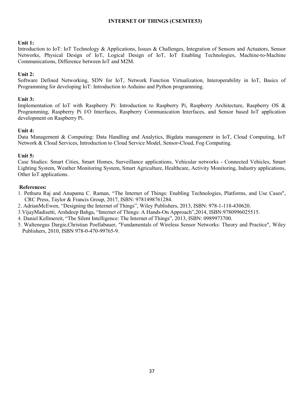#### INTERNET OF THINGS (CSEMTE53)

#### Unit 1:

Introduction to IoT: IoT Technology & Applications, Issues & Challenges, Integration of Sensors and Actuators, Sensor Networks, Physical Design of IoT, Logical Design of IoT, IoT Enabling Technologies, Machine-to-Machine Communications, Difference between IoT and M2M.

#### Unit 2:

Software Defined Networking, SDN for IoT, Network Function Virtualization, Interoperability in IoT, Basics of Programming for developing IoT: Introduction to Arduino and Python programming.

#### Unit 3:

Implementation of IoT with Raspberry Pi: Introduction to Raspberry Pi, Raspberry Architecture, Raspberry OS & Programming, Raspberry Pi I/O Interfaces, Raspberry Communication Interfaces, and Sensor based IoT application development on Raspberry Pi.

#### Unit 4:

Data Management & Computing: Data Handling and Analytics, Bigdata management in IoT, Cloud Computing, IoT Network & Cloud Services, Introduction to Cloud Service Model, Sensor-Cloud, Fog Computing.

#### Unit 5:

Case Studies: Smart Cities, Smart Homes, Surveillance applications, Vehicular networks - Connected Vehicles, Smart Lighting System, Weather Monitoring System, Smart Agriculture, Healthcare, Activity Monitoring, Industry applications, Other IoT applications.

- 1. Pethuru Raj and Anupama C. Raman, "The Internet of Things: Enabling Technologies, Platforms, and Use Cases", CRC Press, Taylor & Francis Group, 2017, ISBN: 9781498761284.
- 2. AdrianMcEwen, "Designing the Internet of Things", Wiley Publishers, 2013, ISBN: 978-1-118-430620.
- 3.VijayMadisetti, Arshdeep Bahga, "Internet of Things: A Hands-On Approach",2014, ISBN:9780996025515.
- 4. Daniel Kellmereit, "The Silent Intelligence: The Internet of Things", 2013, ISBN: 0989973700.
- 5. Waltenegus Dargie,Christian Poellabauer, "Fundamentals of Wireless Sensor Networks: Theory and Practice", Wiley Publishers, 2010, ISBN 978-0-470-99765-9.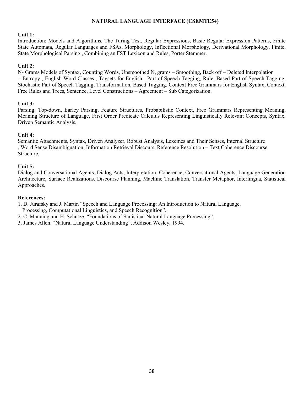#### NATURAL LANGUAGE INTERFACE (CSEMTE54)

#### Unit 1:

Introduction: Models and Algorithms, The Turing Test, Regular Expressions, Basic Regular Expression Patterns, Finite State Automata, Regular Languages and FSAs, Morphology, Inflectional Morphology, Derivational Morphology, Finite, State Morphological Parsing , Combining an FST Lexicon and Rules, Porter Stemmer.

#### Unit 2:

N- Grams Models of Syntax, Counting Words, Unsmoothed N, grams – Smoothing, Back off – Deleted Interpolation – Entropy , English Word Classes , Tagsets for English , Part of Speech Tagging, Rule, Based Part of Speech Tagging, Stochastic Part of Speech Tagging, Transformation, Based Tagging. Context Free Grammars for English Syntax, Context, Free Rules and Trees, Sentence, Level Constructions – Agreement – Sub Categorization.

#### Unit 3:

Parsing: Top-down, Earley Parsing, Feature Structures, Probabilistic Context, Free Grammars Representing Meaning, Meaning Structure of Language, First Order Predicate Calculus Representing Linguistically Relevant Concepts, Syntax, Driven Semantic Analysis.

#### Unit 4:

Semantic Attachments, Syntax, Driven Analyzer, Robust Analysis, Lexemes and Their Senses, Internal Structure , Word Sense Disambiguation, Information Retrieval Discours, Reference Resolution – Text Coherence Discourse Structure.

#### Unit 5:

Dialog and Conversational Agents, Dialog Acts, Interpretation, Coherence, Conversational Agents, Language Generation Architecture, Surface Realizations, Discourse Planning, Machine Translation, Transfer Metaphor, Interlingua, Statistical Approaches.

#### References:

1. D. Jurafsky and J. Martin "Speech and Language Processing: An Introduction to Natural Language.

- Processing, Computational Linguistics, and Speech Recognition".
- 2. C. Manning and H. Schutze, "Foundations of Statistical Natural Language Processing".
- 3. James Allen. "Natural Language Understanding", Addison Wesley, 1994.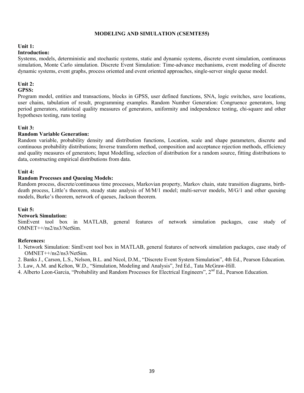#### MODELING AND SIMULATION (CSEMTE55)

#### Unit 1:

#### Introduction:

Systems, models, deterministic and stochastic systems, static and dynamic systems, discrete event simulation, continuous simulation, Monte Carlo simulation. Discrete Event Simulation: Time-advance mechanisms, event modeling of discrete dynamic systems, event graphs, process oriented and event oriented approaches, single-server single queue model.

# Unit 2:

#### GPSS:

Program model, entities and transactions, blocks in GPSS, user defined functions, SNA, logic switches, save locations, user chains, tabulation of result, programming examples. Random Number Generation: Congruence generators, long period generators, statistical quality measures of generators, uniformity and independence testing, chi-square and other hypotheses testing, runs testing

#### Unit 3:

#### Random Variable Generation:

Random variable, probability density and distribution functions, Location, scale and shape parameters, discrete and continuous probability distributions; Inverse transform method, composition and acceptance rejection methods, efficiency and quality measures of generators; Input Modelling, selection of distribution for a random source, fitting distributions to data, constructing empirical distributions from data.

#### Unit 4:

#### Random Processes and Queuing Models:

Random process, discrete/continuous time processes, Markovian property, Markov chain, state transition diagrams, birthdeath process, Little's theorem, steady state analysis of M/M/1 model; multi-server models, M/G/1 and other queuing models, Burke's theorem, network of queues, Jackson theorem.

#### Unit 5:

#### Network Simulation:

SimEvent tool box in MATLAB, general features of network simulation packages, case study of OMNET++/ns2/ns3/NetSim.

- 1. Network Simulation: SimEvent tool box in MATLAB, general features of network simulation packages, case study of OMNET++/ns2/ns3/NetSim.
- 2. Banks J., Carson, L.S., Nelson, B.L. and Nicol, D.M., "Discrete Event System Simulation", 4th Ed., Pearson Education.
- 3. Law, A.M. and Kelton, W.D., "Simulation, Modeling and Analysis", 3rd Ed., Tata McGraw-Hill.
- 4. Alberto Leon-Garcia, "Probability and Random Processes for Electrical Engineers", 2<sup>nd</sup> Ed., Pearson Education.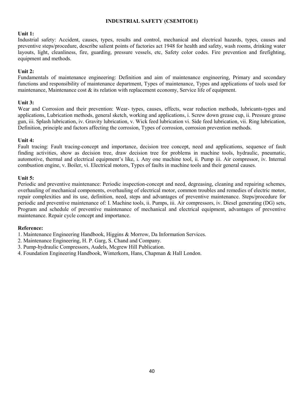#### INDUSTRIAL SAFETY (CSEMTOE1)

#### Unit 1:

Industrial safety: Accident, causes, types, results and control, mechanical and electrical hazards, types, causes and preventive steps/procedure, describe salient points of factories act 1948 for health and safety, wash rooms, drinking water layouts, light, cleanliness, fire, guarding, pressure vessels, etc, Safety color codes. Fire prevention and firefighting, equipment and methods.

#### Unit 2:

Fundamentals of maintenance engineering: Definition and aim of maintenance engineering, Primary and secondary functions and responsibility of maintenance department, Types of maintenance, Types and applications of tools used for maintenance, Maintenance cost & its relation with replacement economy, Service life of equipment.

#### Unit 3:

Wear and Corrosion and their prevention: Wear- types, causes, effects, wear reduction methods, lubricants-types and applications, Lubrication methods, general sketch, working and applications, i. Screw down grease cup, ii. Pressure grease gun, iii. Splash lubrication, iv. Gravity lubrication, v. Wick feed lubrication vi. Side feed lubrication, vii. Ring lubrication, Definition, principle and factors affecting the corrosion, Types of corrosion, corrosion prevention methods.

#### Unit 4:

Fault tracing: Fault tracing-concept and importance, decision tree concept, need and applications, sequence of fault finding activities, show as decision tree, draw decision tree for problems in machine tools, hydraulic, pneumatic, automotive, thermal and electrical equipment's like, i. Any one machine tool, ii. Pump iii. Air compressor, iv. Internal combustion engine, v. Boiler, vi. Electrical motors, Types of faults in machine tools and their general causes.

#### Unit 5:

Periodic and preventive maintenance: Periodic inspection-concept and need, degreasing, cleaning and repairing schemes, overhauling of mechanical components, overhauling of electrical motor, common troubles and remedies of electric motor, repair complexities and its use, definition, need, steps and advantages of preventive maintenance. Steps/procedure for periodic and preventive maintenance of: I. Machine tools, ii. Pumps, iii. Air compressors, iv. Diesel generating (DG) sets, Program and schedule of preventive maintenance of mechanical and electrical equipment, advantages of preventive maintenance. Repair cycle concept and importance.

- 1. Maintenance Engineering Handbook, Higgins & Morrow, Da Information Services.
- 2. Maintenance Engineering, H. P. Garg, S. Chand and Company.
- 3. Pump-hydraulic Compressors, Audels, Mcgrew Hill Publication.
- 4. Foundation Engineering Handbook, Winterkorn, Hans, Chapman & Hall London.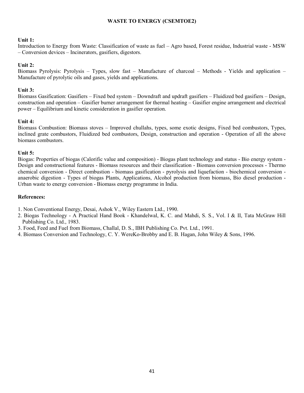#### WASTE TO ENERGY (CSEMTOE2)

#### Unit 1:

Introduction to Energy from Waste: Classification of waste as fuel – Agro based, Forest residue, Industrial waste - MSW – Conversion devices – Incinerators, gasifiers, digestors.

# Unit 2:

Biomass Pyrolysis: Pyrolysis – Types, slow fast – Manufacture of charcoal – Methods - Yields and application – Manufacture of pyrolytic oils and gases, yields and applications.

# Unit 3:

Biomass Gasification: Gasifiers – Fixed bed system – Downdraft and updraft gasifiers – Fluidized bed gasifiers – Design, construction and operation – Gasifier burner arrangement for thermal heating – Gasifier engine arrangement and electrical power – Equilibrium and kinetic consideration in gasifier operation.

# Unit 4:

Biomass Combustion: Biomass stoves – Improved chullahs, types, some exotic designs, Fixed bed combustors, Types, inclined grate combustors, Fluidized bed combustors, Design, construction and operation - Operation of all the above biomass combustors.

# Unit 5:

Biogas: Properties of biogas (Calorific value and composition) - Biogas plant technology and status - Bio energy system - Design and constructional features - Biomass resources and their classification - Biomass conversion processes - Thermo chemical conversion - Direct combustion - biomass gasification - pyrolysis and liquefaction - biochemical conversion anaerobic digestion - Types of biogas Plants, Applications, Alcohol production from biomass, Bio diesel production - Urban waste to energy conversion - Biomass energy programme in India.

- 1. Non Conventional Energy, Desai, Ashok V., Wiley Eastern Ltd., 1990.
- 2. Biogas Technology A Practical Hand Book Khandelwal, K. C. and Mahdi, S. S., Vol. I & II, Tata McGraw Hill Publishing Co. Ltd., 1983.
- 3. Food, Feed and Fuel from Biomass, Challal, D. S., IBH Publishing Co. Pvt. Ltd., 1991.
- 4. Biomass Conversion and Technology, C. Y. WereKo-Brobby and E. B. Hagan, John Wiley & Sons, 1996.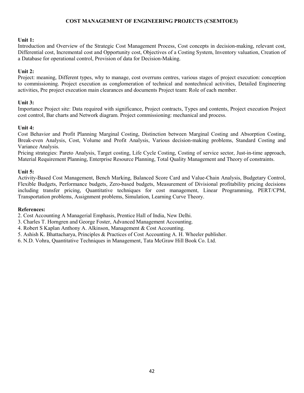# COST MANAGEMENT OF ENGINEERING PROJECTS (CSEMTOE3)

#### Unit 1:

Introduction and Overview of the Strategic Cost Management Process, Cost concepts in decision-making, relevant cost, Differential cost, Incremental cost and Opportunity cost, Objectives of a Costing System, Inventory valuation, Creation of a Database for operational control, Provision of data for Decision-Making.

# Unit 2:

Project: meaning, Different types, why to manage, cost overruns centres, various stages of project execution: conception to commissioning. Project execution as conglomeration of technical and nontechnical activities, Detailed Engineering activities, Pre project execution main clearances and documents Project team: Role of each member.

# Unit 3:

Importance Project site: Data required with significance, Project contracts, Types and contents, Project execution Project cost control, Bar charts and Network diagram. Project commissioning: mechanical and process.

# Unit 4:

Cost Behavior and Profit Planning Marginal Costing, Distinction between Marginal Costing and Absorption Costing, Break-even Analysis, Cost, Volume and Profit Analysis, Various decision-making problems, Standard Costing and Variance Analysis.

Pricing strategies: Pareto Analysis, Target costing, Life Cycle Costing, Costing of service sector, Just-in-time approach, Material Requirement Planning, Enterprise Resource Planning, Total Quality Management and Theory of constraints.

# Unit 5:

Activity-Based Cost Management, Bench Marking, Balanced Score Card and Value-Chain Analysis, Budgetary Control, Flexible Budgets, Performance budgets, Zero-based budgets, Measurement of Divisional profitability pricing decisions including transfer pricing, Quantitative techniques for cost management, Linear Programming, PERT/CPM, Transportation problems, Assignment problems, Simulation, Learning Curve Theory.

#### References:

2. Cost Accounting A Managerial Emphasis, Prentice Hall of India, New Delhi.

3. Charles T. Horngren and George Foster, Advanced Management Accounting.

4. Robert S Kaplan Anthony A. Alkinson, Management & Cost Accounting.

5. Ashish K. Bhattacharya, Principles & Practices of Cost Accounting A. H. Wheeler publisher.

6. N.D. Vohra, Quantitative Techniques in Management, Tata McGraw Hill Book Co. Ltd.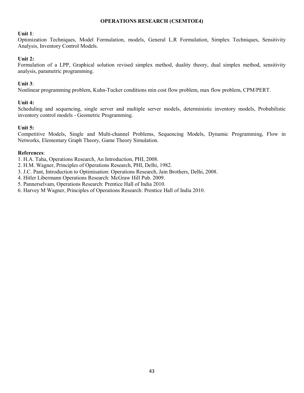#### OPERATIONS RESEARCH (CSEMTOE4)

#### Unit 1:

Optimization Techniques, Model Formulation, models, General L.R Formulation, Simplex Techniques, Sensitivity Analysis, Inventory Control Models.

#### Unit 2:

Formulation of a LPP, Graphical solution revised simplex method, duality theory, dual simplex method, sensitivity analysis, parametric programming.

#### Unit 3:

Nonlinear programming problem, Kuhn-Tucker conditions min cost flow problem, max flow problem, CPM/PERT.

#### Unit 4:

Scheduling and sequencing, single server and multiple server models, deterministic inventory models, Probabilistic inventory control models - Geometric Programming.

#### Unit 5:

Competitive Models, Single and Multi-channel Problems, Sequencing Models, Dynamic Programming, Flow in Networks, Elementary Graph Theory, Game Theory Simulation.

## References:

1. H.A. Taha, Operations Research, An Introduction, PHI, 2008.

- 2. H.M. Wagner, Principles of Operations Research, PHI, Delhi, 1982.
- 3. J.C. Pant, Introduction to Optimisation: Operations Research, Jain Brothers, Delhi, 2008.
- 4. Hitler Libermann Operations Research: McGraw Hill Pub. 2009.
- 5. Pannerselvam, Operations Research: Prentice Hall of India 2010.
- 6. Harvey M Wagner, Principles of Operations Research: Prentice Hall of India 2010.